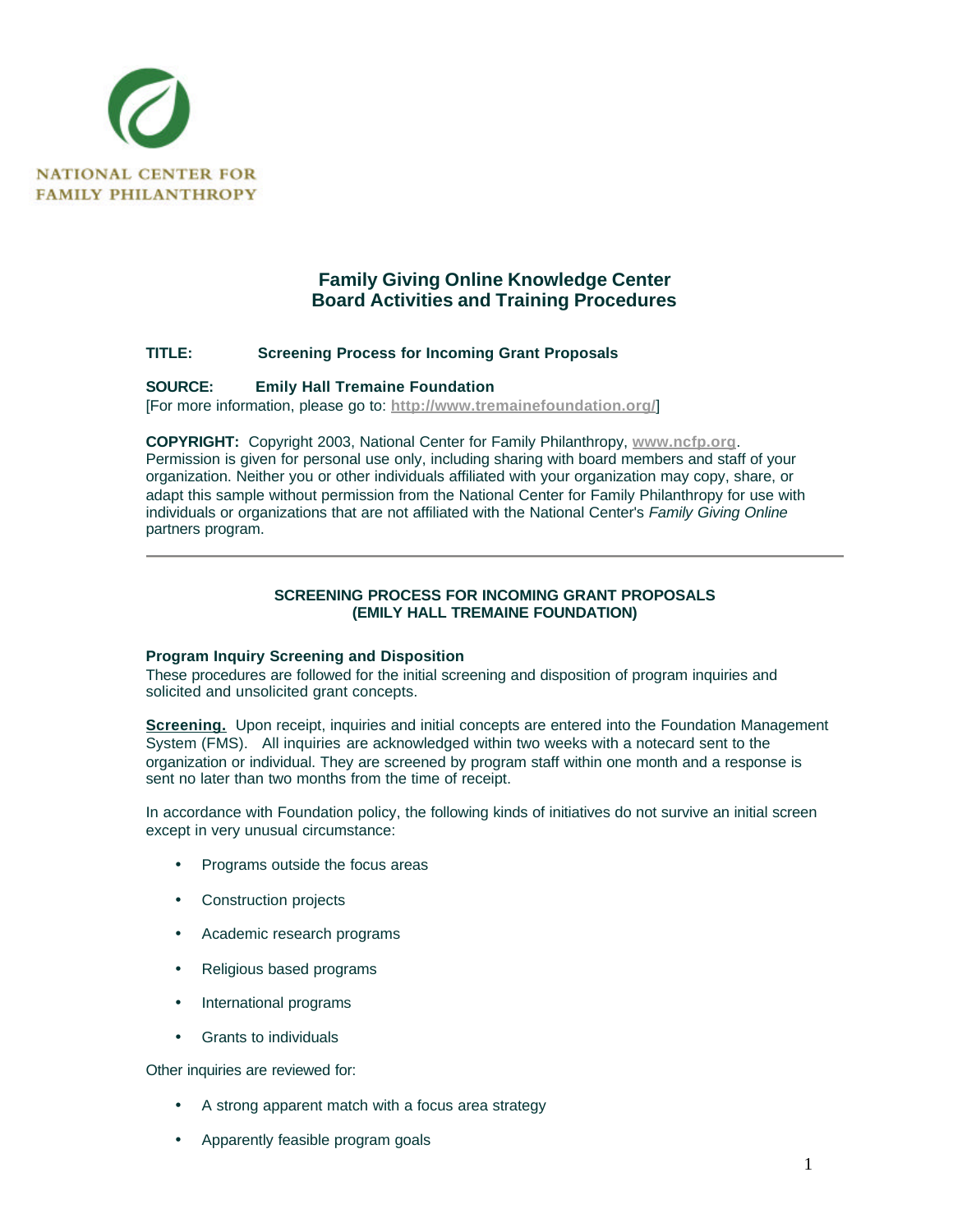

# **Family Giving Online Knowledge Center Board Activities and Training Procedures**

## **TITLE: Screening Process for Incoming Grant Proposals**

#### **SOURCE: Emily Hall Tremaine Foundation**

[For more information, please go to: **http://www.tremainefoundation.org/**]

**COPYRIGHT:** Copyright 2003, National Center for Family Philanthropy, **www.ncfp.org**. Permission is given for personal use only, including sharing with board members and staff of your organization. Neither you or other individuals affiliated with your organization may copy, share, or adapt this sample without permission from the National Center for Family Philanthropy for use with individuals or organizations that are not affiliated with the National Center's *Family Giving Online* partners program.

## **SCREENING PROCESS FOR INCOMING GRANT PROPOSALS (EMILY HALL TREMAINE FOUNDATION)**

## **Program Inquiry Screening and Disposition**

These procedures are followed for the initial screening and disposition of program inquiries and solicited and unsolicited grant concepts.

**Screening.** Upon receipt, inquiries and initial concepts are entered into the Foundation Management System (FMS). All inquiries are acknowledged within two weeks with a notecard sent to the organization or individual. They are screened by program staff within one month and a response is sent no later than two months from the time of receipt.

In accordance with Foundation policy, the following kinds of initiatives do not survive an initial screen except in very unusual circumstance:

- Programs outside the focus areas
- Construction projects
- Academic research programs
- Religious based programs
- International programs
- Grants to individuals

Other inquiries are reviewed for:

- A strong apparent match with a focus area strategy
- Apparently feasible program goals